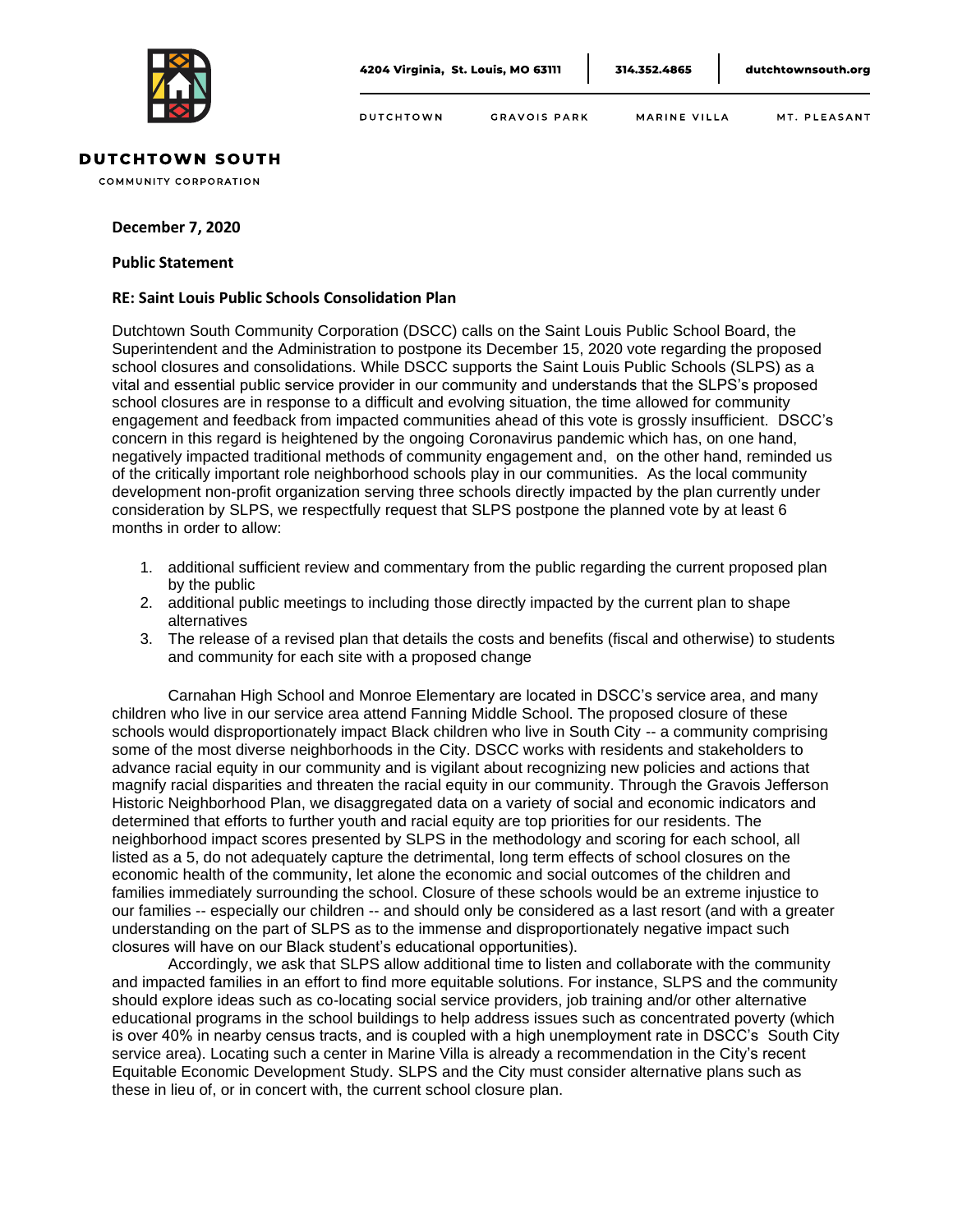

**DUTCHTOWN** MARINE VILLA MT. PLEASANT GRAVOIS PARK

## **DUTCHTOWN SOUTH**

**COMMUNITY CORPORATION** 

## **December 7, 2020**

## **Public Statement**

## **RE: Saint Louis Public Schools Consolidation Plan**

Dutchtown South Community Corporation (DSCC) calls on the Saint Louis Public School Board, the Superintendent and the Administration to postpone its December 15, 2020 vote regarding the proposed school closures and consolidations. While DSCC supports the Saint Louis Public Schools (SLPS) as a vital and essential public service provider in our community and understands that the SLPS's proposed school closures are in response to a difficult and evolving situation, the time allowed for community engagement and feedback from impacted communities ahead of this vote is grossly insufficient. DSCC's concern in this regard is heightened by the ongoing Coronavirus pandemic which has, on one hand, negatively impacted traditional methods of community engagement and, on the other hand, reminded us of the critically important role neighborhood schools play in our communities. As the local community development non-profit organization serving three schools directly impacted by the plan currently under consideration by SLPS, we respectfully request that SLPS postpone the planned vote by at least 6 months in order to allow:

- 1. additional sufficient review and commentary from the public regarding the current proposed plan by the public
- 2. additional public meetings to including those directly impacted by the current plan to shape alternatives
- 3. The release of a revised plan that details the costs and benefits (fiscal and otherwise) to students and community for each site with a proposed change

Carnahan High School and Monroe Elementary are located in DSCC's service area, and many children who live in our service area attend Fanning Middle School. The proposed closure of these schools would disproportionately impact Black children who live in South City -- a community comprising some of the most diverse neighborhoods in the City. DSCC works with residents and stakeholders to advance racial equity in our community and is vigilant about recognizing new policies and actions that magnify racial disparities and threaten the racial equity in our community. Through the Gravois Jefferson Historic Neighborhood Plan, we disaggregated data on a variety of social and economic indicators and determined that efforts to further youth and racial equity are top priorities for our residents. The neighborhood impact scores presented by SLPS in the methodology and scoring for each school, all listed as a 5, do not adequately capture the detrimental, long term effects of school closures on the economic health of the community, let alone the economic and social outcomes of the children and families immediately surrounding the school. Closure of these schools would be an extreme injustice to our families -- especially our children -- and should only be considered as a last resort (and with a greater understanding on the part of SLPS as to the immense and disproportionately negative impact such closures will have on our Black student's educational opportunities).

Accordingly, we ask that SLPS allow additional time to listen and collaborate with the community and impacted families in an effort to find more equitable solutions. For instance, SLPS and the community should explore ideas such as co-locating social service providers, job training and/or other alternative educational programs in the school buildings to help address issues such as concentrated poverty (which is over 40% in nearby census tracts, and is coupled with a high unemployment rate in DSCC's South City service area). Locating such a center in Marine Villa is already a recommendation in the City's recent Equitable Economic Development Study. SLPS and the City must consider alternative plans such as these in lieu of, or in concert with, the current school closure plan.